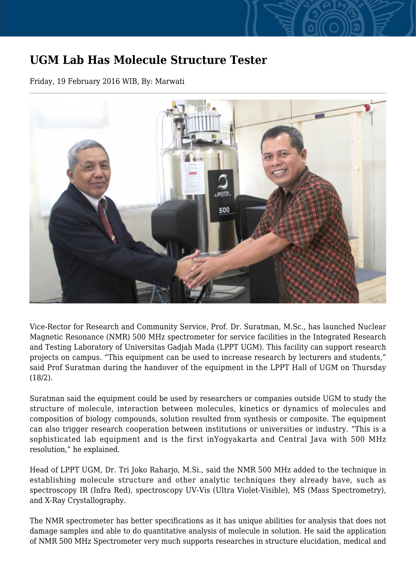## **UGM Lab Has Molecule Structure Tester**

Friday, 19 February 2016 WIB, By: Marwati



Vice-Rector for Research and Community Service, Prof. Dr. Suratman, M.Sc., has launched Nuclear Magnetic Resonance (NMR) 500 MHz spectrometer for service facilities in the Integrated Research and Testing Laboratory of Universitas Gadjah Mada (LPPT UGM). This facility can support research projects on campus. "This equipment can be used to increase research by lecturers and students," said Prof Suratman during the handover of the equipment in the LPPT Hall of UGM on Thursday (18/2).

Suratman said the equipment could be used by researchers or companies outside UGM to study the structure of molecule, interaction between molecules, kinetics or dynamics of molecules and composition of biology compounds, solution resulted from synthesis or composite. The equipment can also trigger research cooperation between institutions or universities or industry. "This is a sophisticated lab equipment and is the first inYogyakarta and Central Java with 500 MHz resolution," he explained.

Head of LPPT UGM, Dr. Tri Joko Raharjo, M.Si., said the NMR 500 MHz added to the technique in establishing molecule structure and other analytic techniques they already have, such as spectroscopy IR (Infra Red), spectroscopy UV-Vis (Ultra Violet-Visible), MS (Mass Spectrometry), and X-Ray Crystallography.

The NMR spectrometer has better specifications as it has unique abilities for analysis that does not damage samples and able to do quantitative analysis of molecule in solution. He said the application of NMR 500 MHz Spectrometer very much supports researches in structure elucidation, medical and